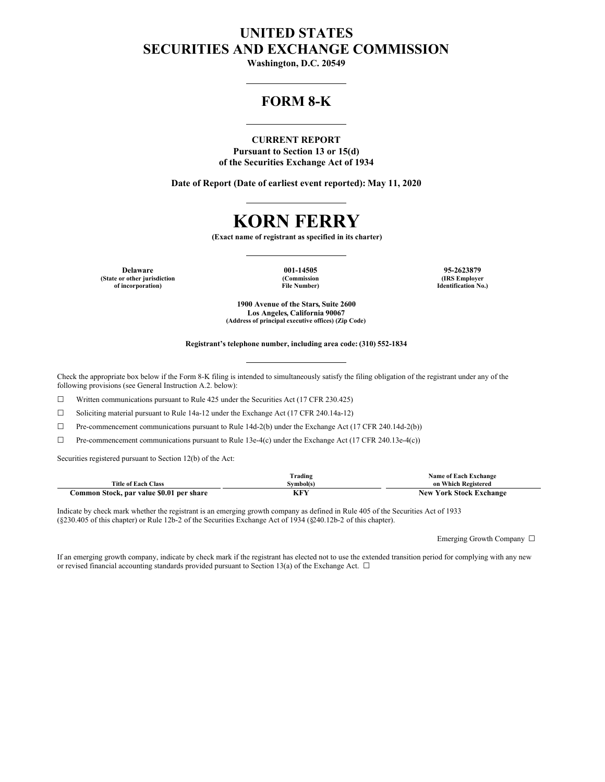# **UNITED STATES SECURITIES AND EXCHANGE COMMISSION**

**Washington, D.C. 20549**

## **FORM 8-K**

## **CURRENT REPORT**

**Pursuant to Section 13 or 15(d) of the Securities Exchange Act of 1934**

**Date of Report (Date of earliest event reported): May 11, 2020**

# **KORN FERRY**

**(Exact name of registrant as specified in its charter)**

**Delaware 001-14505 95-2623879 (State or other jurisdiction of incorporation)**

**(Commission File Number)**

**(IRS Employer Identification No.)**

**1900 Avenue of the Stars, Suite 2600 Los Angeles, California 90067 (Address of principal executive offices) (Zip Code)**

#### **Registrant's telephone number, including area code: (310) 552-1834**

Check the appropriate box below if the Form 8-K filing is intended to simultaneously satisfy the filing obligation of the registrant under any of the following provisions (see General Instruction A.2. below):

☐ Written communications pursuant to Rule 425 under the Securities Act (17 CFR 230.425)

☐ Soliciting material pursuant to Rule 14a-12 under the Exchange Act (17 CFR 240.14a-12)

☐ Pre-commencement communications pursuant to Rule 14d-2(b) under the Exchange Act (17 CFR 240.14d-2(b))

☐ Pre-commencement communications pursuant to Rule 13e-4(c) under the Exchange Act (17 CFR 240.13e-4(c))

Securities registered pursuant to Section 12(b) of the Act:

|                                          | Trading   | Name of Each Exchange          |
|------------------------------------------|-----------|--------------------------------|
| <b>Title of Each Class</b>               | Svmbol(s) | on Which Registered            |
| Common Stock, par value \$0.01 per share | nr i      | <b>New York Stock Exchange</b> |

Indicate by check mark whether the registrant is an emerging growth company as defined in Rule 405 of the Securities Act of 1933 (§230.405 of this chapter) or Rule 12b-2 of the Securities Exchange Act of 1934 (§240.12b-2 of this chapter).

Emerging Growth Company ☐

If an emerging growth company, indicate by check mark if the registrant has elected not to use the extended transition period for complying with any new or revised financial accounting standards provided pursuant to Section 13(a) of the Exchange Act.  $\Box$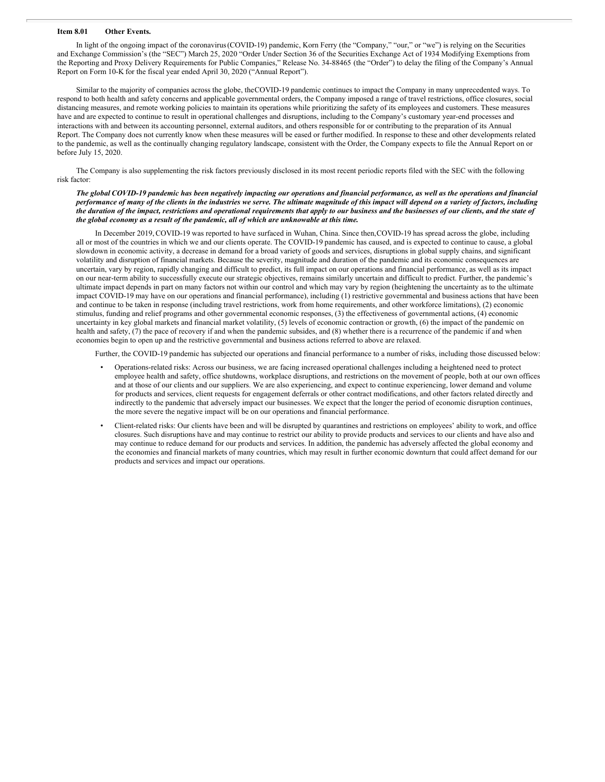#### **Item 8.01 Other Events.**

In light of the ongoing impact of the coronavirus(COVID-19) pandemic, Korn Ferry (the "Company," "our," or "we") is relying on the Securities and Exchange Commission's (the "SEC") March 25, 2020 "Order Under Section 36 of the Securities Exchange Act of 1934 Modifying Exemptions from the Reporting and Proxy Delivery Requirements for Public Companies," Release No. 34-88465 (the "Order") to delay the filing of the Company's Annual Report on Form 10-K for the fiscal year ended April 30, 2020 ("Annual Report").

Similar to the majority of companies across the globe, theCOVID-19 pandemic continues to impact the Company in many unprecedented ways. To respond to both health and safety concerns and applicable governmental orders, the Company imposed a range of travel restrictions, office closures, social distancing measures, and remote working policies to maintain its operations while prioritizing the safety of its employees and customers. These measures have and are expected to continue to result in operational challenges and disruptions, including to the Company's customary year-end processes and interactions with and between its accounting personnel, external auditors, and others responsible for or contributing to the preparation of its Annual Report. The Company does not currently know when these measures will be eased or further modified. In response to these and other developments related to the pandemic, as well as the continually changing regulatory landscape, consistent with the Order, the Company expects to file the Annual Report on or before July 15, 2020.

The Company is also supplementing the risk factors previously disclosed in its most recent periodic reports filed with the SEC with the following risk factor:

#### The global COVID-19 pandemic has been negatively impacting our operations and financial performance, as well as the operations and financial performance of many of the clients in the industries we serve. The ultimate magnitude of this impact will depend on a variety of factors, including the duration of the impact, restrictions and operational requirements that apply to our business and the businesses of our clients, and the state of *the global economy as a result of the pandemic, all of which are unknowable at this time.*

In December 2019, COVID-19 was reported to have surfaced in Wuhan, China. Since then, COVID-19 has spread across the globe, including all or most of the countries in which we and our clients operate. The COVID-19 pandemic has caused, and is expected to continue to cause, a global slowdown in economic activity, a decrease in demand for a broad variety of goods and services, disruptions in global supply chains, and significant volatility and disruption of financial markets. Because the severity, magnitude and duration of the pandemic and its economic consequences are uncertain, vary by region, rapidly changing and difficult to predict, its full impact on our operations and financial performance, as well as its impact on our near-term ability to successfully execute our strategic objectives, remains similarly uncertain and difficult to predict. Further, the pandemic's ultimate impact depends in part on many factors not within our control and which may vary by region (heightening the uncertainty as to the ultimate impact COVID-19 may have on our operations and financial performance), including (1) restrictive governmental and business actions that have been and continue to be taken in response (including travel restrictions, work from home requirements, and other workforce limitations), (2) economic stimulus, funding and relief programs and other governmental economic responses, (3) the effectiveness of governmental actions, (4) economic uncertainty in key global markets and financial market volatility, (5) levels of economic contraction or growth, (6) the impact of the pandemic on health and safety, (7) the pace of recovery if and when the pandemic subsides, and (8) whether there is a recurrence of the pandemic if and when economies begin to open up and the restrictive governmental and business actions referred to above are relaxed.

Further, the COVID-19 pandemic has subjected our operations and financial performance to a number of risks, including those discussed below:

- Operations-related risks: Across our business, we are facing increased operational challenges including a heightened need to protect employee health and safety, office shutdowns, workplace disruptions, and restrictions on the movement of people, both at our own offices and at those of our clients and our suppliers. We are also experiencing, and expect to continue experiencing, lower demand and volume for products and services, client requests for engagement deferrals or other contract modifications, and other factors related directly and indirectly to the pandemic that adversely impact our businesses. We expect that the longer the period of economic disruption continues, the more severe the negative impact will be on our operations and financial performance.
- Client-related risks: Our clients have been and will be disrupted by quarantines and restrictions on employees' ability to work, and office closures. Such disruptions have and may continue to restrict our ability to provide products and services to our clients and have also and may continue to reduce demand for our products and services. In addition, the pandemic has adversely affected the global economy and the economies and financial markets of many countries, which may result in further economic downturn that could affect demand for our products and services and impact our operations.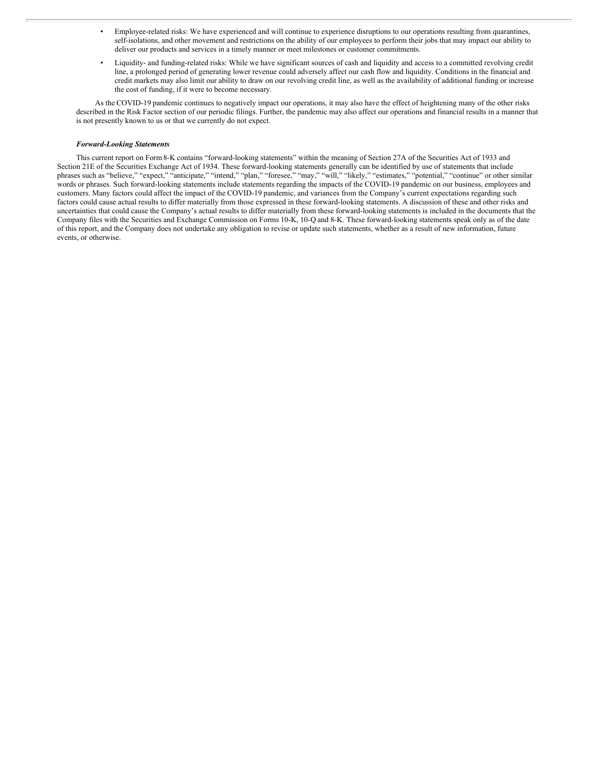- Employee-related risks: We have experienced and will continue to experience disruptions to our operations resulting from quarantines, self-isolations, and other movement and restrictions on the ability of our employees to perform their jobs that may impact our ability to deliver our products and services in a timely manner or meet milestones or customer commitments.
- Liquidity- and funding-related risks: While we have significant sources of cash and liquidity and access to a committed revolving credit line, a prolonged period of generating lower revenue could adversely affect our cash flow and liquidity. Conditions in the financial and credit markets may also limit our ability to draw on our revolving credit line, as well as the availability of additional funding or increase the cost of funding, if it were to become necessary.

As the COVID-19 pandemic continues to negatively impact our operations, it may also have the effect of heightening many of the other risks described in the Risk Factor section of our periodic filings. Further, the pandemic may also affect our operations and financial results in a manner that is not presently known to us or that we currently do not expect.

#### *Forward-Looking Statements*

This current report on Form8-K contains "forward-looking statements" within the meaning of Section 27A of the Securities Act of 1933 and Section 21E of the Securities Exchange Act of 1934. These forward-looking statements generally can be identified by use of statements that include phrases such as "believe," "expect," "anticipate," "intend," "plan," "foresee," "may," "will," "likely," "estimates," "potential," "continue" or other similar words or phrases. Such forward-looking statements include statements regarding the impacts of the COVID-19 pandemic on our business, employees and customers. Many factors could affect the impact of the COVID-19 pandemic, and variances from the Company's current expectations regarding such factors could cause actual results to differ materially from those expressed in these forward-looking statements. A discussion of these and other risks and uncertainties that could cause the Company's actual results to differ materially from these forward-looking statements is included in the documents that the Company files with the Securities and Exchange Commission on Forms 10-K, 10-Q and 8-K. These forward-looking statements speak only as of the date of this report, and the Company does not undertake any obligation to revise or update such statements, whether as a result of new information, future events, or otherwise.